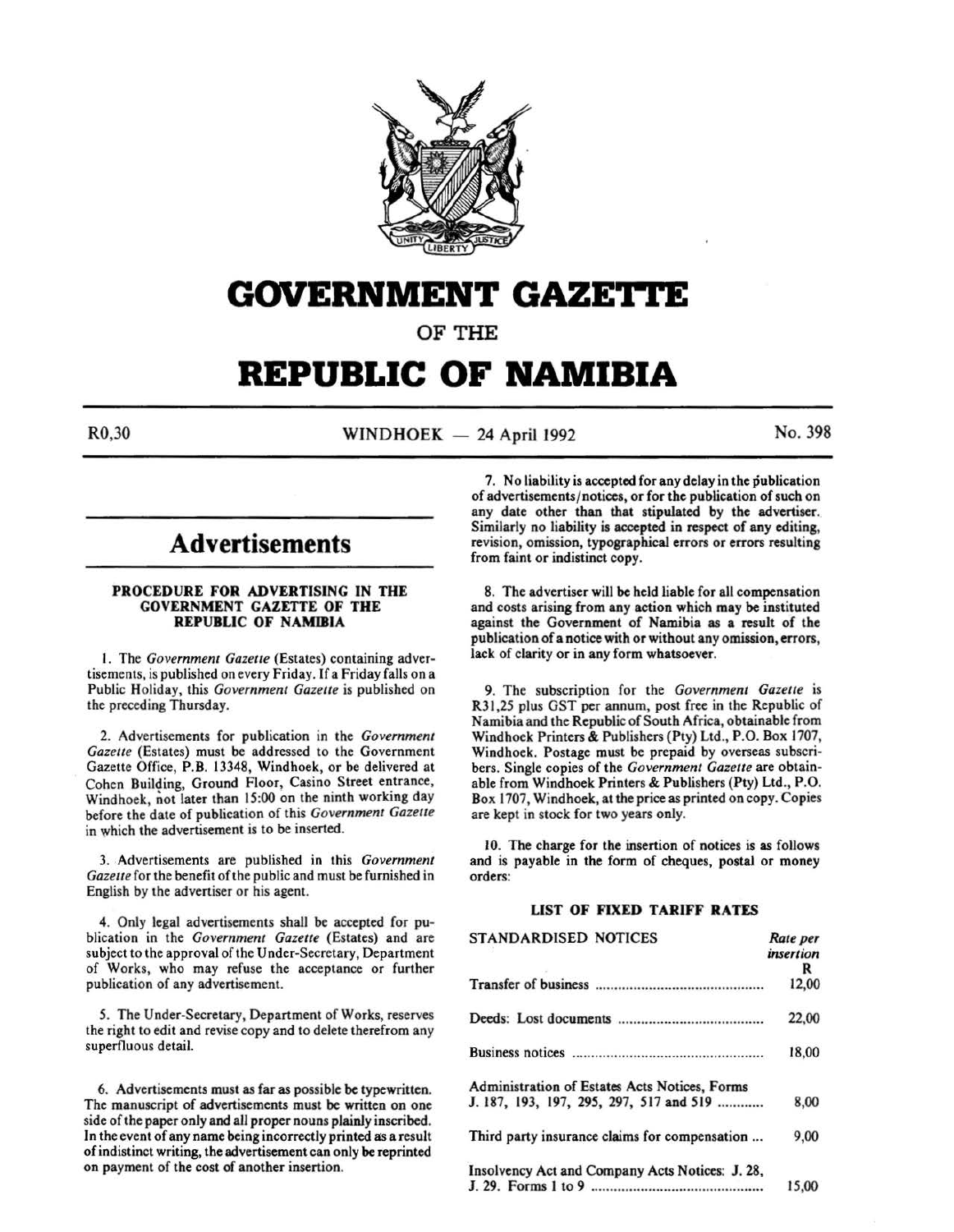

# **GOVERNMENT GAZE'rtE**

OF THE

# **REPUBLIC OF NAMIBIA**

 $R0,30$  WINDHOEK - 24 April 1992 No. 398

# **Advertisements**

# PROCEDURE FOR ADVERTISING IN THE GOVERNMENT GAZETTE OF THE REPUBLIC OF NAMIBIA

l. The *Government Gazette* (Estates) containing advertisements, is published on every Friday. If a Friday falls on a Public Holiday, this *Government Gazette* is published on the preceding Thursday.

2. Advertisements for publication in the *Government Gazette* (Estates) must be addressed to the Government Gazette Office, P.B. 13348, Windhoek, or be delivered at Cohen Building, Ground Floor, Casino Street entrance, Windhoek, not later than 15:00 on the ninth working day before the date of publication of this *Government Gazette*  in which the advertisement is to be inserted.

3. Advertisements are published in this *Government Gazette* for the benefit of the public and must be furnished in English by the advertiser or his agent.

4. Only legal advertisements shall be accepted for publication in the *Government Gazette* (Estates) and are subject to the approval of the Under-Secretary, Department of Works, who may refuse the acceptance or further publication of any advertisement.

5. The Under-Secretary, Department of Works, reserves the right to edit and revise copy and to delete therefrom any superfluous detail.

6. Advertisements must as far as possible be typewritten. The manuscript of advertisements must be written on one side of the paper only and all proper nouns plainly inscribed. In the event of any name being incorrectly printed as a result of indistinct writing, the advertisement can only be reprinted on payment of the cost of another insertion.

7. No liability is accepted for any delay in the publication of advertisements/ notices, or for the publication of such on any date other than that stipulated by the advertiser. Similarly no liability is accepted in respect of any editing, revision, omission, typographical errors or errors resulting from faint or indistinct copy.

8. The advertiser will be held liable for all compensation and costs arising from any action which may be instituted against the Government of Namibia as a result of the publication of a notice with or without any omission, errors, lack of clarity or in any form whatsoever.

9. The subscription for the *Government Gazette* is R31,25 plus GST per annum, post free in the Republic of Namibia and the Republic of South Africa, obtainable from Windhoek Printers & Publishers (Pty) Ltd., P.O. Box 1707, Windhoek. Postage must be prepaid by overseas subscribers. Single copies of the *Government Gazette* are obtainable from Windhoek Printers & Publishers (Pty) Ltd., P.O. Box 1707, Windhoek, at the price as printed on copy. Copies are kept in stock for two years only.

10. The charge for the insertion of notices is as follows and is payable in the form of cheques, postal or money orders:

# LIST OF FIXED TARIFF RATES

| <b>STANDARDISED NOTICES</b>                     | Rate per  |
|-------------------------------------------------|-----------|
|                                                 | insertion |
|                                                 | R         |
|                                                 | 12,00     |
|                                                 | 22,00     |
|                                                 | 18,00     |
| Administration of Estates Acts Notices, Forms   |           |
| J. 187, 193, 197, 295, 297, 517 and 519         | 8,00      |
| Third party insurance claims for compensation   | 9,00      |
| Insolvency Act and Company Acts Notices: J. 28, |           |
|                                                 | 15.00     |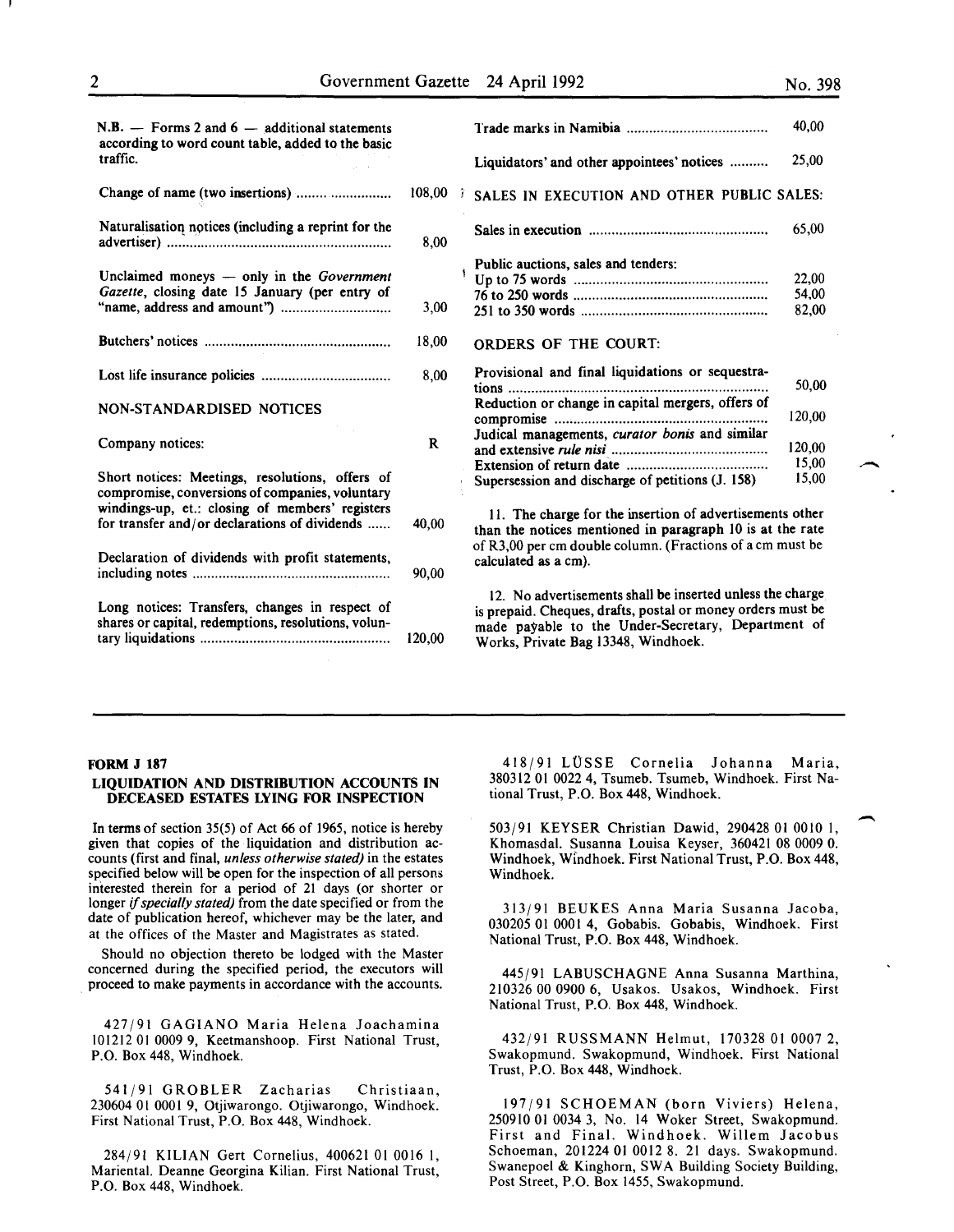50,00

| $N.B.$ - Forms 2 and 6 - additional statements<br>according to word count table, added to the basic   |              |                                                                                                                                                                                                                       | 40,00                   |
|-------------------------------------------------------------------------------------------------------|--------------|-----------------------------------------------------------------------------------------------------------------------------------------------------------------------------------------------------------------------|-------------------------|
| traffic.                                                                                              |              | Liquidators' and other appointees' notices                                                                                                                                                                            | 25,00                   |
| Change of name (two insertions)                                                                       | 108,00       | SALES IN EXECUTION AND OTHER PUBLIC SALES:                                                                                                                                                                            |                         |
| Naturalisation notices (including a reprint for the                                                   | 8,00         |                                                                                                                                                                                                                       | 65,00                   |
| Unclaimed moneys $-$ only in the <i>Government</i><br>Gazette, closing date 15 January (per entry of  | 3,00         | Public auctions, sales and tenders:                                                                                                                                                                                   | 22,00<br>54,00<br>82,00 |
|                                                                                                       | 18,00        | <b>ORDERS OF THE COURT:</b>                                                                                                                                                                                           |                         |
|                                                                                                       | 8,00         | Provisional and final liquidations or sequestra-                                                                                                                                                                      | 50,00                   |
| <b>NON-STANDARDISED NOTICES</b>                                                                       |              | Reduction or change in capital mergers, offers of                                                                                                                                                                     | 120,00                  |
| Company notices:                                                                                      | $\mathbf{R}$ | Judical managements, curator bonis and similar                                                                                                                                                                        | 120,00                  |
| Short notices: Meetings, resolutions, offers of<br>compromise, conversions of companies, voluntary    |              | Supersession and discharge of petitions (J. 158)                                                                                                                                                                      | 15.00<br>15,00          |
| windings-up, et.: closing of members' registers<br>for transfer and/or declarations of dividends      | 40,00        | 11. The charge for the insertion of advertisements other<br>than the notices mentioned in paragraph 10 is at the rate                                                                                                 |                         |
| Declaration of dividends with profit statements,                                                      | 90.00        | of R3,00 per cm double column. (Fractions of a cm must be<br>calculated as a cm).                                                                                                                                     |                         |
| Long notices: Transfers, changes in respect of<br>shares or capital, redemptions, resolutions, volun- | 120,00       | 12. No advertisements shall be inserted unless the charge<br>is prepaid. Cheques, drafts, postal or money orders must be<br>made payable to the Under-Secretary, Department of<br>Works, Private Bag 13348, Windhoek. |                         |

#### FORM J 187

# LIQUIDATION AND DISTRIBUTION ACCOUNTS IN DECEASED ESTATES LYING FOR INSPECTION

In terms of section 35(5) of Act 66 of 1965, notice is hereby given that copies of the liquidation and distribution accounts (first and final, *unless otherwise stated)* in the estates specified below will be open for the inspection of all persons interested therein for a period of 21 days (or shorter or longer if *specially stated)* from the date specified or from the date of publication hereof, whichever may be the later, and at the offices of the Master and Magistrates as stated.

Should no objection thereto be lodged with the Master concerned during the specified period, the executors will proceed to make payments in accordance with the accounts.

427/91 GAGIANO Maria Helena Joachamina 101212 OJ 0009 9, Keetmanshoop. First National Trust, P.O. Box 448, Windhoek.

541/91 GROBLER Zacharias Christiaan, 230604 01 0001 9, Otjiwarongo. Otjiwarongo, Windhoek. First National Trust, P.O. Box 448, Windhoek.

284/91 KILIAN Gert Cornelius, 400621 OJ 0016 I, Mariental. Deanne Georgina Kilian. First National Trust, P.O. Box 448, Windhoek.

418/91 LUSSE Cornelia Johanna Maria, 380312 01 0022 4, Tsumeb. Tsumeb, Windhoek. First National Trust, P.O. Box 448, Windhoek.

503/91 KEYSER Christian Dawid, 290428 OJ 0010 I, Khomasdal. Susanna Louisa Keyser, 360421 08 0009 0. Windhoek, Windhoek. First National Trust, P.O. Box 448, Windhoek.

313/91 BEUKES Anna Maria Susanna Jacoba, 030205 01 0001 4, Gobabis. Gobabis, Windhoek. First National Trust, P.O. Box 448, Windhoek.

445/91 LABUSCHAGNE Anna Susanna Marthina, 210326 00 0900 6, Usakos. Usakos, Windhoek. First National Trust, P.O. Box 448, Windhoek.

432/91 RUSSMANN Helmut, 170328 01 0007 2, Swakopmund. Swakopmund, Windhoek. First National Trust, P.O. Box 448, Windhoek.

197/91 SCHOEMAN (born Viviers) Helena, 250910 OJ 0034 3, No. 14 Woker Street, Swakopmund. First and Final. Windhoek. Willem Jacobus Schoeman, 201224 01 0012 8. 21 days. Swakopmund. Swanepoel & Kinghorn, SWA Building Society Building, Post Street, P.O. Box 1455, Swakopmund.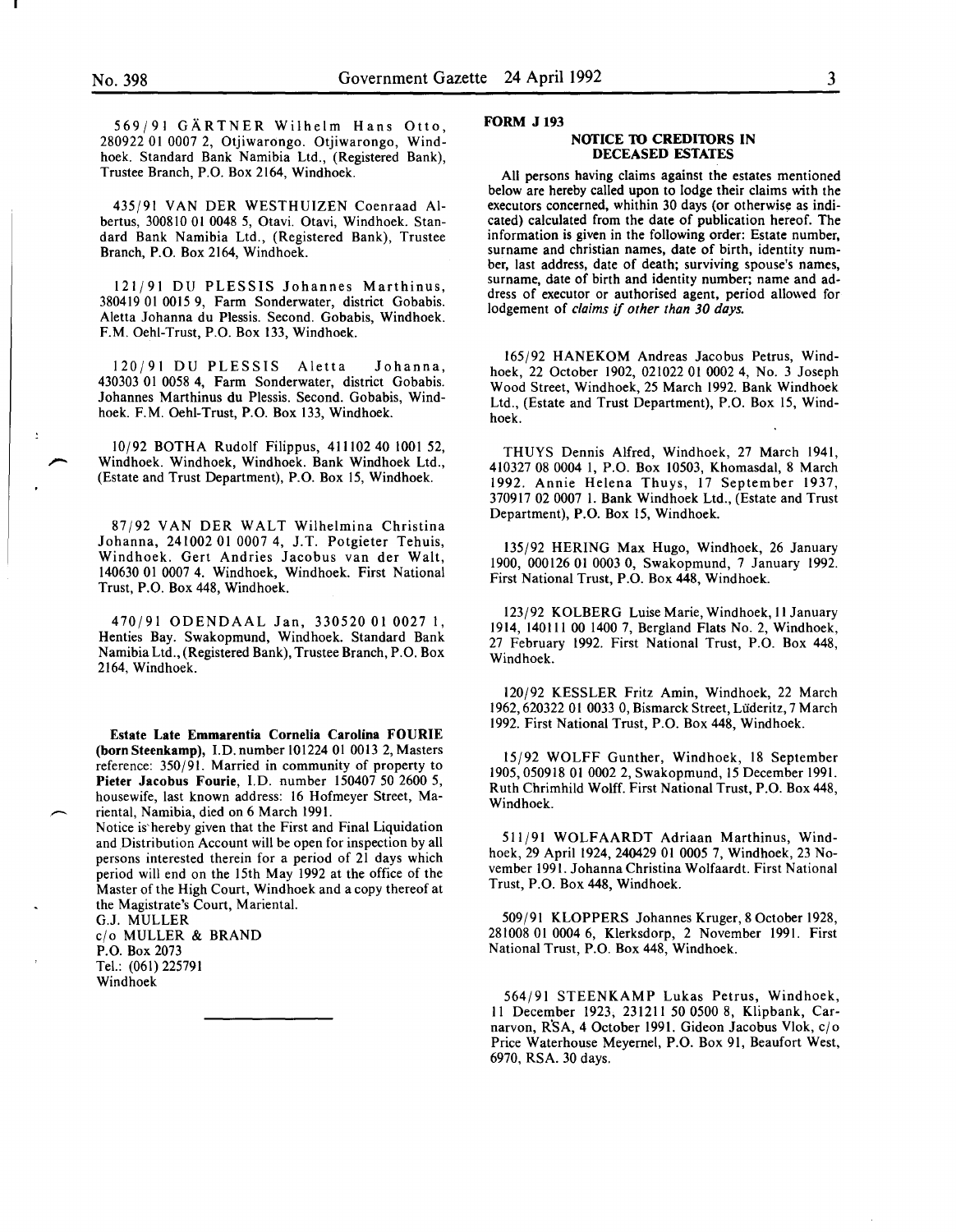569(91 GARTNER Wilhelm Hans Otto, 280922 01 0007 2, Otjiwarongo. Otjiwarongo, Windhoek. Standard Bank Namibia Ltd., (Registered Bank), Trustee Branch, P.O. Box 2164, Windhoek.

435/91 VAN DER WESTHUIZEN Coenraad Albertus, 300810 01 0048 5, Otavi. Otavi, Windhoek. Standard Bank Namibia Ltd., (Registered Bank), Trustee Branch, P.O. Box 2164, Windhoek.

121(91 DU PLESSIS Johannes Marthinus, 380419 01 0015 9, Farm Sonderwater, district Gobabis. Aletta Johanna du Plessis. Second. Gobabis, Windhoek. F.M. Oehl-Trust, P.O. Box 133, Windhoek.

120(91 DU PLESSIS Aletta Johanna, 430303 01 0058 4, Farm Sonderwater, district Gobabis. Johannes Marthinus du Plessis. Second. Gobabis, Windhoek. F.M. Oehi-Trust, P.O. Box 133, Windhoek.

10(92 BOTHA Rudolf Filippus, 411102 40 1001 52, Windhoek. Windhoek, Windhoek. Bank Windhoek Ltd., (Estate and Trust Department), P.O. Box 15, Windhoek.

87(92 VANDER WALT Wilhelmina Christina Johanna, 241002 01 0007 4, J.T. Potgieter Tehuis, Windhoek. Gert Andries Jacobus van der Walt, 140630 Ol 0007 4. Windhoek, Windhoek. First National Trust, P.O. Box 448, Windhoek.

470(91 ODENDAAL Jan, 330520 01 0027 I, Henties Bay. Swakopmund, Windhoek. Standard Bank Namibia Ltd., (Registered Bank), Trustee Branch, P.O. Box 2164, Windhoek.

Estate Late Emmarentia Cornelia Carolina FOURIE (born Steenkamp), I. D. number 101224 01 0013 2, Masters reference: 350/91. Married in community of property to Pieter Jacobus Fourie, l.D. number 150407 50 2600 5, housewife, last known address: 16 Hofmeyer Street, Mariental, Namibia, died on 6 March 1991.

Notice is' hereby given that the First and Final Liquidation and Distribution Account will be open for inspection by all persons interested therein for a period of 21 days which period will end on the 15th May 1992 at the office of the Master of the High Court, Windhoek and a copy thereof at the Magistrate's Court, Mariental.

G.J. MULLER c/o MULLER & BRAND P.O. Box 2073 Tel.: (061) 225791 Windhoek

#### FORM J 193

#### NOTICE TO CREDITORS IN DECEASED ESTATES

All persons having claims against the estates mentioned below are hereby called upon to lodge their claims with the executors concerned, whithin 30 days (or otherwise as indicated) calculated from the date of publication hereof. The information is given in the following order: Estate number, surname and christian names, date of birth, identity number, last address, date of death; surviving spouse's names, surname, date of birth and identity number; name and address of executor or authorised agent, period allowed for lodgement of *claims* if *other than 30 days.* 

165(92 HANEKOM Andreas Jacobus Petrus, Windhoek, 22 October 1902, 021022 01 0002 4, No. 3 Joseph Wood Street, Windhoek, 25 March 1992. Bank Windhoek Ltd., (Estate and Trust Department), P.O. Box 15, Windhoek.

THUYS Dennis Alfred, Windhoek, 27 March 1941, 410327 08 0004 1, P.O. Box 10503, Khomasdal, 8 March 1992. Annie Helena Thuys, 17 September 1937, 370917 02 0007 I. Bank Windhoek Ltd., (Estate and Trust Department), P.O. Box 15, Windhoek.

135(92 HERING Max Hugo, Windhoek, 26 January 1900, 000126 01 0003 0, Swakopmund, 7 January 1992. First National Trust, P.O. Box 448, Windhoek.

123/92 KOLBERG Luise Marie, Windhoek, II January 1914, 140111 00 1400 7, Bergland Flats No. 2, Windhoek, 27 February 1992. First National Trust, P.O. Box 448, Windhoek.

120/92 KESSLER Fritz Amin, Windhoek, 22 March 1962, 620322 01 0033 0, Bismarck Street, Lüderitz, 7 March 1992: First National Trust, P.O. Box 448, Windhoek.

15(92 WOLFF Gunther, Windhoek, 18 September 1905,050918 01 0002 2, Swakopmund, 15 December 1991. Ruth Chrimhild Wolff. First National Trust, P.O. Box 448, Windhoek.

511(91 WOLFAARDT Adriaan Marthinus, Windhoek, 29 April 1924, 240429 01 0005 7, Windhoek, 23 November 1991. Johanna Christina Wolfaardt. First National Trust, P.O. Box 448, Windhoek.

509(91 KLOPPERS Johannes Kruger, 8 October 1928, 281008 01 0004 6, Klerksdorp, 2 November 1991. First National Trust, P.O. Box 448, Windhoek.

564/91 STEENKAMP Lukas Petrus, Windhoek, II December 1923, 231211 50 0500 8, Klipbank, Carnarvon, R'SA, 4 October 1991. Gideon Jacobus Vlok, c/o Price Waterhouse Meyernel, P.O. Box 91, Beaufort West, 6970, RSA. 30 days.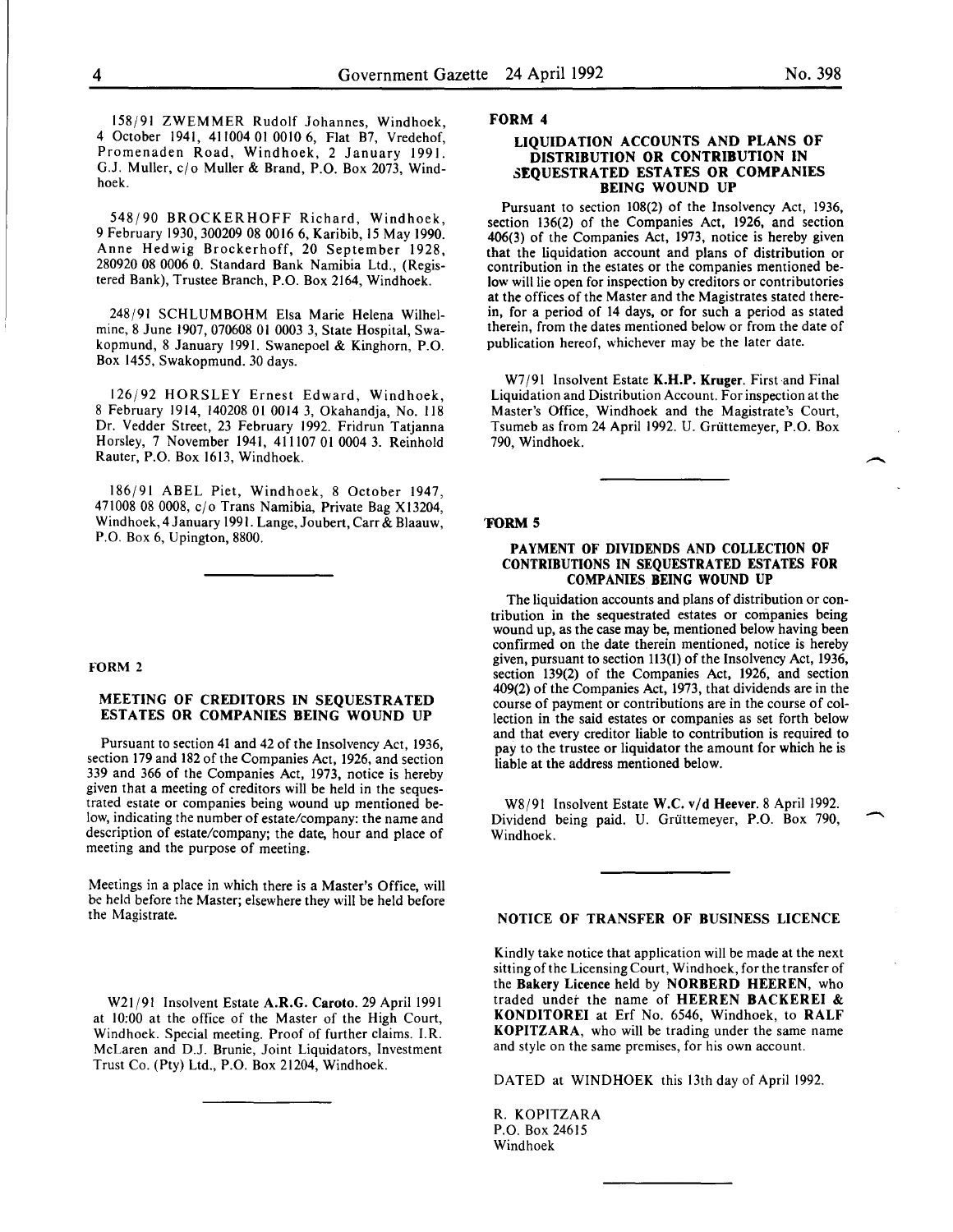158191 ZWEMMER Rudolf Johannes, Windhoek, 4 October 1941, 411004 01 0010 6, Flat B7, Vredehof, Promenaden Road, Windhoek, 2 January 1991. G.J. Muller, *clo* Muller & Brand, P.O. Box 2073, Windhoek.

548190 BROCKER HOFF Richard, Windhoek, 9 February 1930,300209 08 0016 6, Karibib, 15 May 1990. Anne Hedwig Brockerhoff, 20 September 1928, 280920 08 0006 0. Standard Bank Namibia Ltd., (Registered Bank), Trustee Branch, P.O. Box 2164, Windhoek.

248191 SCHLUMBOHM Elsa Marie Helena Wilhelmine, 8 June 1907,070608 01 0003 3, State Hospital, Swakopmund, 8 January 1991. Swanepoel & Kinghorn, P.O. Box 1455, Swakopmund. 30 days.

126192 HORSLEY Ernest Edward, Windhoek, 8 February 1914, 140208 01 0014 3, Okahandja, No. 118 Dr. Vedder Street, 23 February 1992. Fridrun Tatjanna Horsley, 7 November 1941, 411107 01 0004 3. Reinhold Rauter, P.O. Box 1613, Windhoek.

186191 ABEL Piet, Windhoek, 8 October 1947, 471008 08 0008, *clo* Trans Namibia, Private Bag Xl3204, Windhoek, 4 January 1991. Lange, Joubert, Carr & Blaauw, P.O. Box 6, Upington, 8800.

# FORM 2

# MEETING OF CREDITORS IN SEQUESTRATED ESTATES OR COMPANIES BEING WOUND UP

Pursuant to section 41 and 42 of the Insolvency Act, 1936, section 179 and 182 of the Companies Act, 1926, and section 339 and 366 of the Companies Act, 1973, notice is hereby given that a meeting of creditors will be held in the sequestrated estate or companies being wound up mentioned below, indicating the number of estate/company: the name and description of estate/company; the date, hour and place of meeting and the purpose of meeting.

Meetings in a place in which there is a Master's Office, will be held before the Master; elsewhere they will be held before the Magistrate.

W21/91 Insolvent Estate A.R.G. Caroto. 29 April 1991 at 10:00 at the office of the Master of the High Court, Windhoek. Special meeting. Proof of further claims. I.R. McLaren and D.J. Brunie, Joint Liquidators, Investment Trust Co. (Pty) Ltd., P.O. Box 21204, Windhoek.

#### FORM 4

#### LIQUIDATION ACCOUNTS AND PLANS OF DISTRIBUTION OR CONTRIBUTION IN SEQUESTRATED ESTATES OR COMPANIES BEING WOUND UP

Pursuant to section 108(2) of the Insolvency Act, 1936, section 136(2) of the Companies Act, 1926, and section 406(3) of the Companies Act, 1973, notice is hereby given contribution in the estates or the companies mentioned below will lie open for inspection by creditors or contributories at the offices of the Master and the Magistrates stated therein, for a period of 14 days, or for such a period as stated therein, from the dates mentioned below or from the date of publication hereof, whichever may be the later date.

W7/91 Insolvent Estate K.H.P. Kruger. First and Final Liquidation and Distribution Account. For inspection at the Master's Office, Windhoek and the Magistrate's Court, Tsumeb as from 24 April 1992. U. Grüttemeyer, P.O. Box 790, Windhoek.

#### 'FORM 5

#### PAYMENT OF DIVIDENDS AND COLLECTION OF CONTRIBUTIONS IN SEQUESTRATED ESTATES FOR COMPANIES BEING WOUND UP

The liquidation accounts and plans of distribution or contribution in the sequestrated estates or companies being wound up, as the case may be, mentioned below having been confirmed on the date therein mentioned, notice is hereby given, pursuant to section 113(1) of the Insolvency Act, 1936, section 139(2) of the Companies Act, 1926, and section 409(2) of the Companies Act, 1973, that dividends are in the course of payment or contributions are in the course of collection in the said estates or companies as set forth below and that every creditor liable to contribution is required to pay to the trustee or liquidator the amount for which he is liable at the address mentioned below.

W8/91 Insolvent Estate W.C. v/d Heever. 8 April 1992. Dividend being paid. U. Griittemeyer, P.O. Box 790, Windhoek.

#### NOTICE OF TRANSFER OF BUSINESS LICENCE

Kindly take notice that application will be made at the next sitting of the Licensing Court, Windhoek, for the transfer of the Bakery Licence held by NORBERD HEEREN, who traded under the name of HEEREN BACKEREI & KONDITOREI at Erf No. 6546, Windhoek, to RALF KOPITZARA, who will be trading under the same name and style on the same premises, for his own account.

DATED at WINDHOEK this 13th day of April 1992.

R. KOPITZARA P.O. Box 24615 Windhoek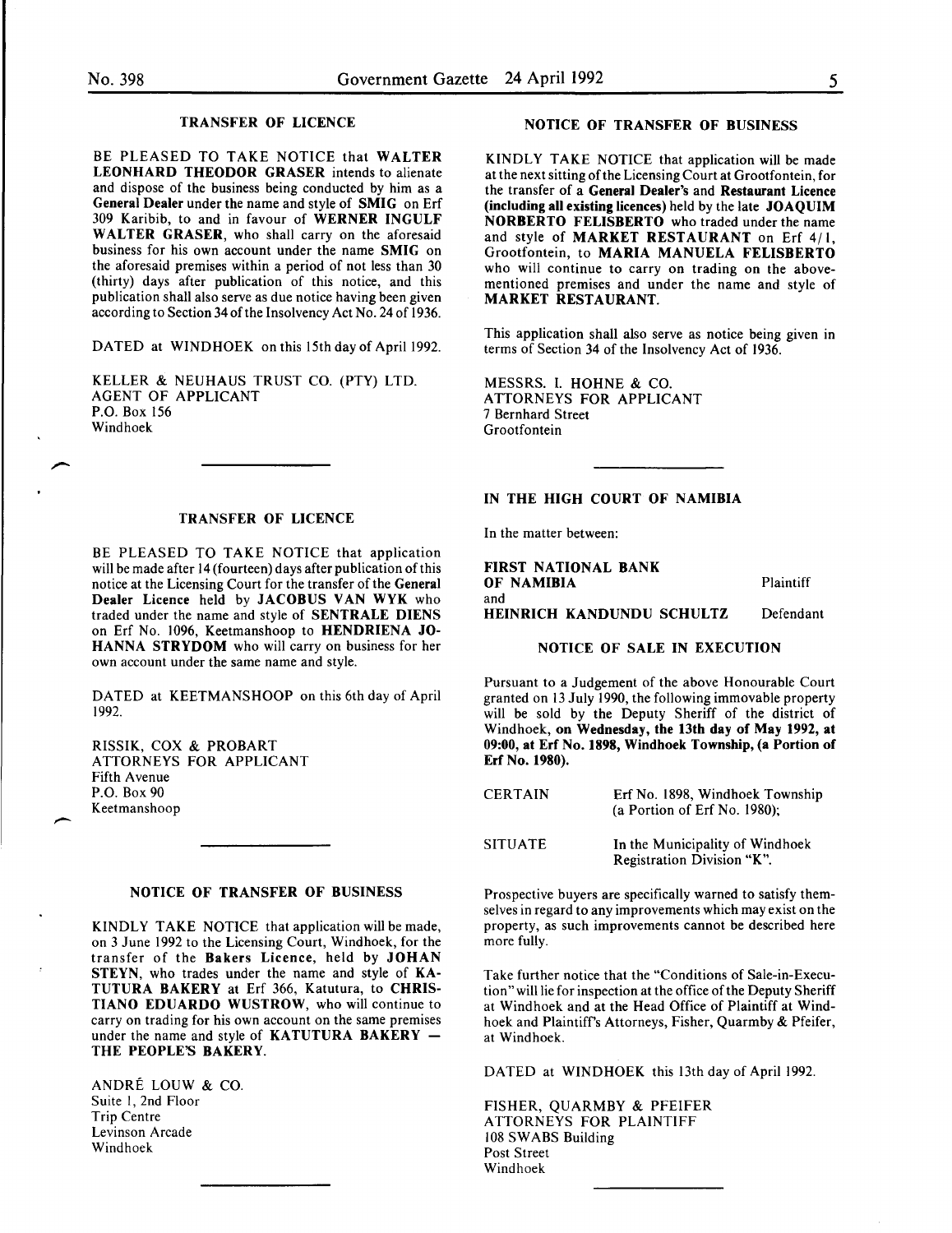# TRANSFER OF LICENCE

BE PLEASED TO TAKE NOTICE that WALTER LEONHARD THEODOR GRASER intends to alienate and dispose of the business being conducted by him as a General Dealer under the name and style of SMIG on Erf 309 Karibib, to and in favour of WERNER INGULF WALTER GRASER, who shall carry on the aforesaid business for his own account under the name SMIG on the aforesaid premises within a period of not less than 30 (thirty) days after publication of this notice, and this publication shall also serve as due notice having been given according to Section 34 of the Insolvency Act No. 24 of 1936.

DATED at WINDHOEK on this 15th day of April 1992.

KELLER & NEUHAUS TRUST CO. (PTY) LTD. AGENT OF APPLICANT P.O. Box 156 Windhoek

#### TRANSFER OF LICENCE

BE PLEASED TO TAKE NOTICE that application will be made after 14 (fourteen) days after publication of this notice at the Licensing Court for the transfer of the General Dealer Licence held by JACOBUS VAN WYK who traded under the name and style of SENTRALE DIENS on Erf No. 1096, Keetmanshoop to HENDRIENA JO-HANNA STRYDOM who will carry on business for her own account under the same name and style.

DATED at KEETMANSHOOP on this 6th day of April 1992.

RISSIK, COX & PROBART ATTORNEYS FOR APPLICANT Fifth Avenue P.O. Box 90 Keetmanshoop

 $\overline{\phantom{a}}$ 

#### NOTICE OF TRANSFER OF BUSINESS

KINDLY TAKE NOTICE that application will be made, on 3 June 1992 to the Licensing Court, Windhoek, for the transfer of the Bakers Licence, held by JOHAN STEYN, who trades under the name and style of KA-TUTURA BAKERY at Erf 366, Katutura, to CHRIS-TIANO EDUARDO WUSTROW, who will continue to carry on trading for his own account on the same premises under the name and style of KATUTURA BAKERY -THE PEOPLE'S BAKERY.

ANDRE LOUW & CO. Suite I, 2nd Floor Trip Centre Levinson Arcade Windhoek

#### NOTICE OF TRANSFER OF BUSINESS

KINDLY TAKE NOTICE that application will be made at the next sitting of the Licensing Court at Grootfontein, for the transfer of a General Dealer's and Restaurant Licence (including all existing licences) held by the late JOAQUIM NORBERTO FELISBERTO who traded under the name and style of MARKET RESTAURANT on Erf 4/1, Grootfontein, to MARIA MANUELA FELISBERTO who will continue to carry on trading on the abovementioned premises and under the name and style of MARKET RESTAURANT.

This application shall also serve as notice being given in terms of Section 34 of the Insolvency Act of 1936.

MESSRS. I. HOHNE & CO. ATTORNEYS FOR APPLICANT 7 Bernhard Street Grootfontein

# IN THE HIGH COURT OF NAMIBIA

In the matter between:

FIRST NATIONAL BANK OF NAMIBIA and HEINRICH KANDUNDU SCHULTZ **Plaintiff** Defendant

# NOTICE OF SALE IN EXECUTION

Pursuant to a Judgement of the above Honourable Court granted on 13 July 1990, the following immovable property will be sold by the Deputy Sheriff of the district of Windhoek, on Wednesday, the 13th day of May 1992, at 09:00, at Erf No. 1898, Windhoek Township, (a Portion of Erf No. 1980).

| <b>CERTAIN</b> | Erf No. 1898, Windhoek Township<br>(a Portion of Erf No. 1980); |
|----------------|-----------------------------------------------------------------|
| <b>SITUATE</b> | In the Municipality of Windhoek<br>Registration Division "K".   |

Prospective buyers are specifically warned to satisfy themselves in regard to any improvements which may exist on the property, as such improvements cannot be described here more fully.

Take further notice that the "Conditions of Sale-in-Execution" will lie for inspection at the office of the Deputy Sheriff at Windhoek and at the Head Office of Plaintiff at Windhoek and Plaintiff's Attorneys, Fisher, Quarmby & Pfeifer, at Windhoek.

DATED at WINDHOEK this 13th day of April 1992.

FISHER, QUARMBY & PFEIFER ATTORNEYS FOR PLAINTIFF 108 SWABS Building Post Street Windhoek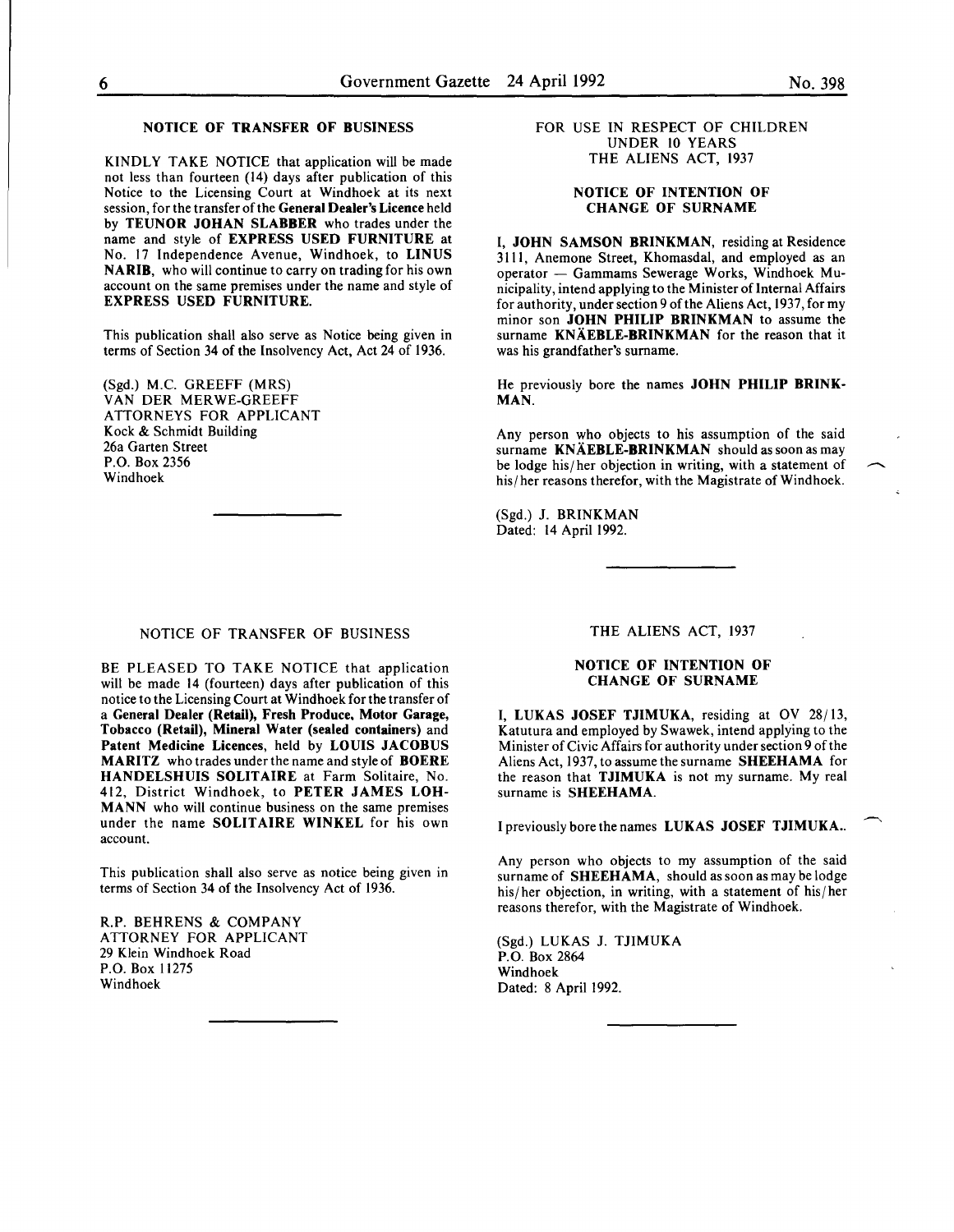# NOTICE OF TRANSFER OF BUSINESS

KINDLY TAKE NOTICE that application will be made not less than fourteen (14) days after publication of this Notice to the Licensing Court at Windhoek at its next session, for the transfer of the General Dealer's Licence held by TEUNOR JOHAN SLABBER who trades under the name and style of **EXPRESS** USED FURNITURE at No. 17 Independence Avenue, Windhoek, to LINUS NARIB, who will continue to carry on trading for his own account on the same premises under the name and style of EXPRESS USED FURNITURE.

This publication shall also serve as Notice being given in terms of Section 34 of the Insolvency Act, Act 24 of 1936.

(Sgd.) M.C. GREEFF (MRS) VAN DER MERWE-GREEFF ATTORNEYS FOR APPLICANT Kock & Schmidt Building 26a Garten Street P.O. Box 2356 Windhoek

# FOR USE IN RESPECT OF CHILDREN UNDER 10 YEARS THE ALIENS ACT, 1937

# NOTICE OF INTENTION OF CHANGE OF SURNAME

I, JOHN SAMSON BRINKMAN, residing at Residence 3111, Anemone Street, Khomasdal, and employed as an operator - Gammams Sewerage Works, Windhoek Municipality, intend applying to the Minister of Internal Affairs for authority, under section 9 of the Aliens Act, 1937, for my minor son JOHN PHILIP BRINKMAN to assume the surname KNÄEBLE-BRINKMAN for the reason that it was his grandfather's surname.

He previously bore the names JOHN PHILIP BRINK-MAN.

Any person who objects to his assumption of the said surname KNÄEBLE-BRINKMAN should as soon as may be lodge his/her objection in writing, with a statement of his/ her reasons therefor, with the Magistrate of Windhoek.

(Sgd.) J. BRINKMAN Dated: 14 April 1992.

# NOTICE OF TRANSFER OF BUSINESS

BE PLEASED TO TAKE NOTICE that application will be made 14 (fourteen) days after publication of this notice to the Licensing Court at Windhoek for the transfer of a General Dealer (Retail), Fresh Produce, Motor Garage, Tobacco (Retail), Mineral Water (sealed containers) and Patent Medicine Licences, held by LOUIS JACOBUS MARITZ who trades under the name and style of BOERE HANDELSHUIS SOLITAIRE at Farm Solitaire, No. 412, District Windhoek, to PETER JAMES LOH-MANN who will continue business on the same premises under the name SOLITAIRE WINKEL for his own account.

This publication shall also serve as notice being given in terms of Section 34 of the Insolvency Act of 1936.

R.P. BEHRENS & COMPANY ATTORNEY FOR APPLICANT 29 Klein Windhoek Road P.O. Box 11275 Windhoek

THE ALIENS ACT, 1937

#### NOTICE OF INTENTION OF CHANGE OF SURNAME

I, LUKAS JOSEF TJIMUKA, residing at OV 28/13, Katutura and employed by Swawek, intend applying to the Minister of Civic Affairs for authority under section 9 of the Aliens Act, 1937, to assume the surname SHEEHAMA for the reason that TJIMUKA is not my surname. My real surname is SHEEHAMA.

I previously bore the names LUKAS JOSEF TJIMUKA..

Any person who objects to my assumption of the said surname of SHEEHAMA, should as soon as may be lodge his/her objection, in writing, with a statement of his/her reasons therefor, with the Magistrate of Windhoek.

(Sgd.) LUKAS J. TJIMUKA P.O. Box 2864 Windhoek Dated: 8 April 1992.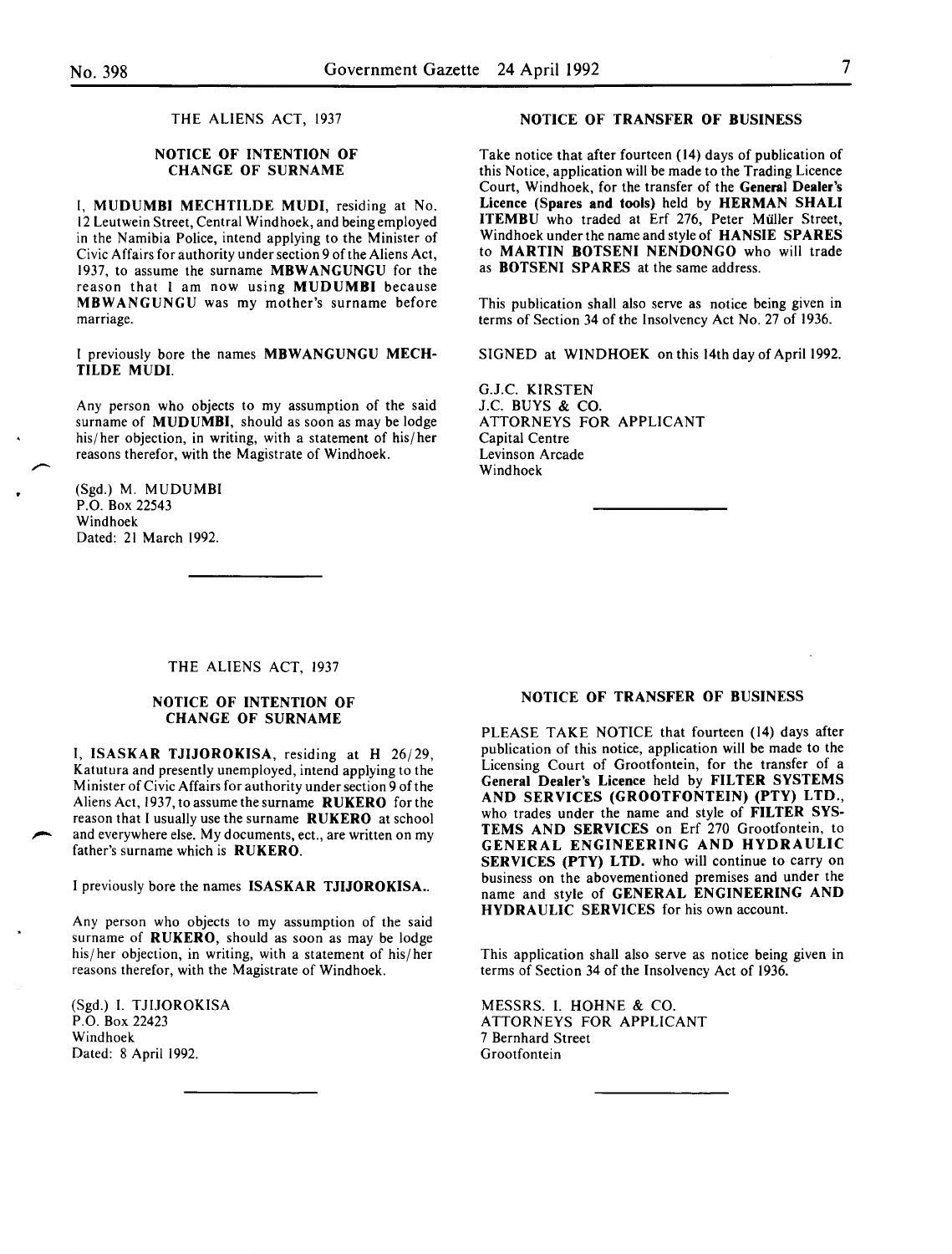THE ALIENS ACT, 1937

# NOTICE OF INTENTION OF CHANGE OF SURNAME

I, MUDUMBI MECHTILDE MUDI, residing at No. 12 Leutwein Street, Central Windhoek, and being employed in the Namibia Police, intend applying to the Minister of Civic Affairs for authority under section 9 of the Aliens Act, 1937, to assume the surname MBWANGUNGU for the reason that I am now using MUDUMBI because MBWANGUNGU was my mother's surname before marriage.

I previously bore the names MBWANGUNGU MECH-TILDE MUDI.

Any person who objects to my assumption of the said surname of MUDUMBI, should as soon as may be lodge his/ her objection, in writing, with a statement of his/ her reasons therefor, with the Magistrate of Windhoek.

(Sgd.) M. MUDUMBI P.O. Box 22543 Windhoek Dated: 21 March 1992.

# NOTICE OF TRANSFER OF BUSINESS

Take notice that after fourteen ( 14) days of publication of this Notice, application will be made to the Trading Licence Court, Windhoek, for the transfer of the General Dealer's Licence (Spares and tools) held by HERMAN SHALl ITEMBU who traded at Erf 276, Peter Muller Street, Windhoek under the name and style of HANSIE SPARES to MARTIN BOTSENI NENDONGO who will trade as BOTSENI SPARES at the same address.

This publication shall also serve as notice being given in terms of Section 34 of the Insolvency Act No. 27 of 1936.

SIGNED at WINDHOEK on this 14th day of April 1992.

G.J.C. KIRSTEN J.C. BUYS & CO. ATTORNEYS FOR APPLICANT Capital Centre Levinson Arcade Windhoek

#### THE ALIENS ACT, 1937

# NOTICE OF INTENTION OF CHANGE OF SURNAME

I, ISASKAR TJIJOROKISA, residing at H 26/29, Katutura and presently unemployed, intend applying to the Minister of Civic Affairs for authority under section 9 of the Aliens Act, 1937, to assume the surname RUKERO for the reason that I usually use the surname RUKERO at school and everywhere else. My documents, ect., are written on my father's surname which is RUKERO.

I previously bore the names ISASKAR TJIJOROKISA...

Any person who objects to my assumption of the said surname of RUKERO, should as soon as may be lodge his/ her objection, in writing, with a statement of his/her reasons therefor, with the Magistrate of Windhoek.

(Sgd.) I. TJIJOROKISA P.O. Box 22423 Windhoek Dated: 8 April 1992.

#### NOTICE OF TRANSFER OF BUSINESS

PLEASE TAKE NOTICE that fourteen (14) days after publication of this notice, application will be made to the Licensing Court of Grootfontein, for the transfer of a General Dealer's Licence held by FILTER SYSTEMS AND SERVICES (GROOTFONTEIN) (PTY) LTD., who trades under the name and style of FILTER SYS-TEMS AND SERVICES on Erf 270 Grootfontein, to GENERAL ENGINEERING AND HYDRAULIC SERVICES (PTY) LTD. who will continue to carry on business on the abovementioned premises and under the name and style of GENERAL ENGINEERING AND HYDRAULIC SERVICES for his own account.

This application shall also serve as notice being given in terms of Section 34 of the Insolvency Act of 1936.

MESSRS. I. HOHNE & CO. ATTORNEYS FOR APPLICANT 7 Bernhard Street Grootfontein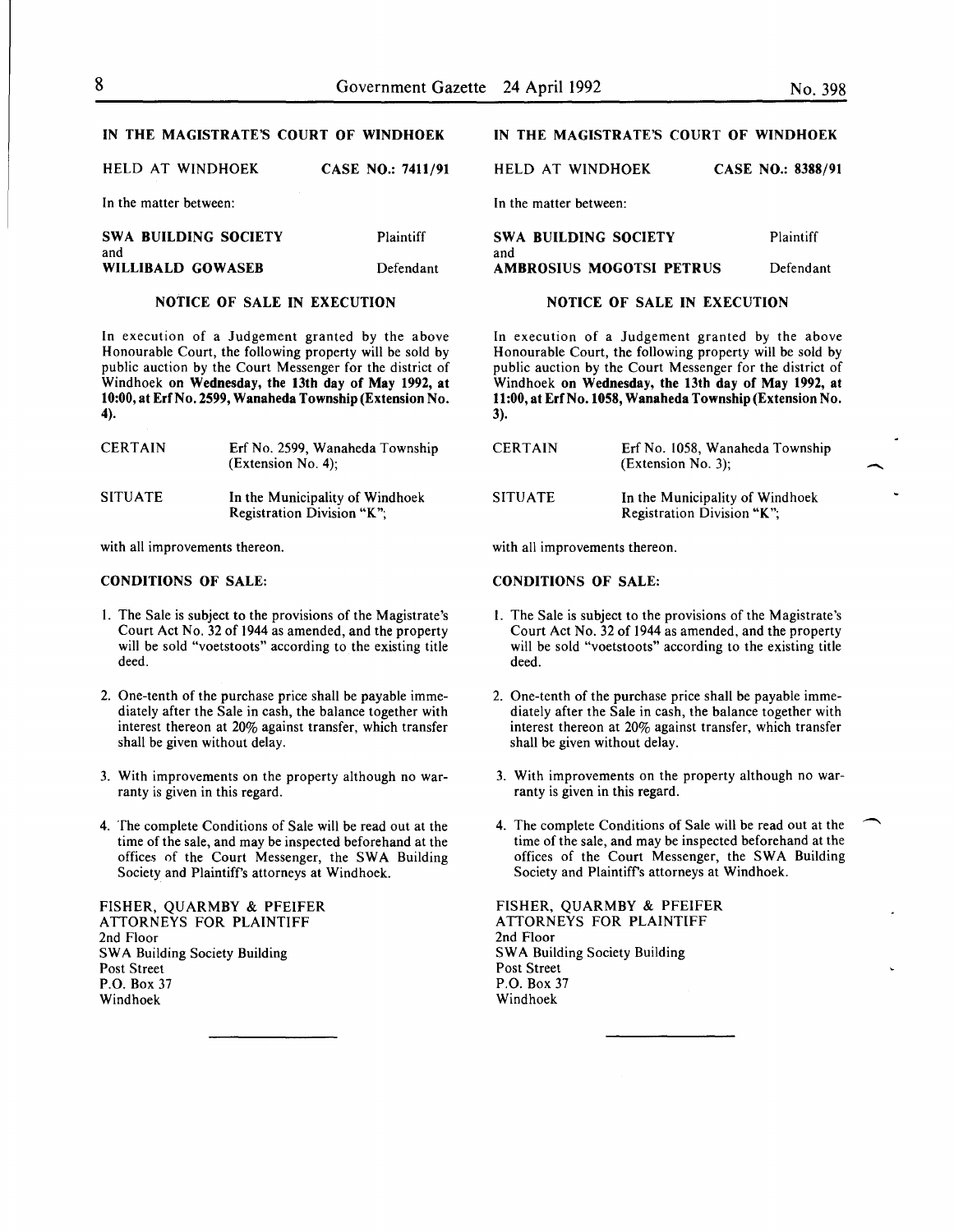-

#### IN THE MAGISTRATE'S COURT OF WINDHOEK

HELD AT WINDHOEK CASE NO.: 7411/91

In the matter between:

SWA BUILDING SOCIETY and WILLIBALD GOWASEB Plaintiff Defendant

#### NOTICE OF SALE IN EXECUTION

In execution of a Judgement granted by the above Honourable Court, the following property will be sold by public auction by the Court Messenger for the district of Windhoek on Wednesday, the 13th day of May 1992, at 10:00, at ErfNo. 2599, Wanaheda Township (Extension No. 4).

| <b>CERTAIN</b> | Erf No. 2599, Wanaheda Township<br>$(Extension No. 4)$ ;      |
|----------------|---------------------------------------------------------------|
| <b>SITUATE</b> | In the Municipality of Windhoek<br>Registration Division "K": |

with all improvements thereon.

# CONDITIONS OF SALE:

- I. The Sale is subject to the provisions of the Magistrate's Court Act No. 32 of 1944 as amended, and the property will be sold "voetstoots" according to the existing title deed.
- 2. One-tenth of the purchase price shall be payable immediately after the Sale in cash, the balance together with interest thereon at 20% against transfer, which transfer shall be given without delay.
- 3. With improvements on the property although no warranty is given in this regard.
- 4. The complete Conditions of Sale will be read out at the time of the sale, and may be inspected beforehand at the offices of the Court Messenger, the SWA Building Society and Plaintiffs attorneys at Windhoek.

FISHER, QUARMBY & PFEIFER ATTORNEYS FOR PLAINTIFF 2nd Floor SWA Building Society Building Post Street P.O. Box 37 Windhoek

# IN THE MAGISTRATE'S COURT OF WINDHOEK

HELD AT WINDHOEK CASE NO.: 8388/91

In the matter between:

| SWA BUILDING SOCIETY     | Plaintiff |
|--------------------------|-----------|
| and                      |           |
| AMBROSIUS MOGOTSI PETRUS | Defendant |

#### NOTICE OF SALE IN EXECUTION

In execution of a Judgement granted by the above Honourable Court, the following property will be sold by public auction by the Court Messenger for the district of Windhoek on Wednesday, the 13th day of May 1992, at 11:00, at ErfNo.1058, Wanaheda Township (Extension No. 3).

| <b>CERTAIN</b> | Erf No. 1058, Wanaheda Township<br>(Extension No. 3):         |
|----------------|---------------------------------------------------------------|
| <b>SITUATE</b> | In the Municipality of Windhoek<br>Registration Division "K"; |

with all improvements thereon.

### CONDITIONS OF SALE:

- I. The Sale is subject to the provisions of the Magistrate's Court Act No. 32 of 1944 as amended, and the property will be sold "voetstoots" according to the existing title deed.
- 2. One-tenth of the purchase price shall be payable immediately after the Sale in cash, the balance together with interest thereon at 20% against transfer, which transfer shall be given without delay.
- 3. With improvements on the property although no warranty is given in this regard.
- 4. The complete Conditions of Sale will be read out at the time of the sale, and may be inspected beforehand at the offices of the Court Messenger, the SWA Building Society and Plaintiffs attorneys at Windhoek.

FISHER, QUARMBY & PFEIFER ATTORNEYS FOR PLAINTIFF 2nd Floor SWA Building Society Building Post Street P.O. Box 37 Windhoek